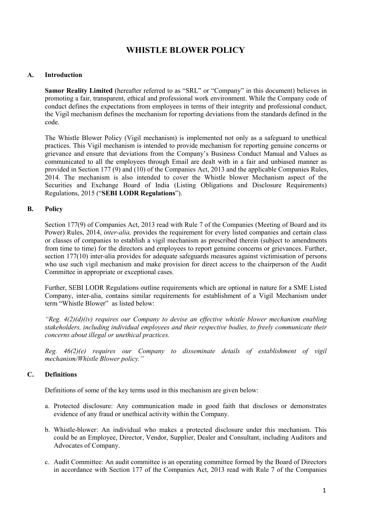# **WHISTLE BLOWER POLICY**

#### **A. Introduction**

**Samor Reality Limited** (hereafter referred to as "SRL" or "Company" in this document) believes in promoting a fair, transparent, ethical and professional work environment. While the Company code of conduct defines the expectations from employees in terms of their integrity and professional conduct, the Vigil mechanism defines the mechanism for reporting deviations from the standards defined in the code.

The Whistle Blower Policy (Vigil mechanism) is implemented not only as a safeguard to unethical practices. This Vigil mechanism is intended to provide mechanism for reporting genuine concerns or grievance and ensure that deviations from the Company's Business Conduct Manual and Values as communicated to all the employees through Email are dealt with in a fair and unbiased manner as provided in Section 177 (9) and (10) of the Companies Act, 2013 and the applicable Companies Rules, 2014. The mechanism is also intended to cover the Whistle blower Mechanism aspect of the Securities and Exchange Board of India (Listing Obligations and Disclosure Requirements) Regulations, 2015 ("**SEBI LODR Regulations**").

#### **B. Policy**

Section 177(9) of Companies Act, 2013 read with Rule 7 of the Companies (Meeting of Board and its Power) Rules, 2014, *inter-alia,* provides the requirement for every listed companies and certain class or classes of companies to establish a vigil mechanism as prescribed therein (subject to amendments from time to time) for the directors and employees to report genuine concerns or grievances. Further, section 177(10) inter-alia provides for adequate safeguards measures against victimisation of persons who use such vigil mechanism and make provision for direct access to the chairperson of the Audit Committee in appropriate or exceptional cases.

Further, SEBI LODR Regulations outline requirements which are optional in nature for a SME Listed Company, inter-alia, contains similar requirements for establishment of a Vigil Mechanism under term "Whistle Blower" as listed below:

*"Reg. 4(2)(d)(iv) requires our Company to devise an ef ective whistle blower mechanism enabling stakeholders, including individual employees and their respective bodies, to freely communicate their concerns about illegal or unethical practices.*

*Reg. 46(2)(e) requires our Company to disseminate details of establishment of vigil mechanism/Whistle Blower policy."*

# **C. Definitions**

Definitions of some of the key terms used in this mechanism are given below:

- a. Protected disclosure: Any communication made in good faith that discloses or demonstrates evidence of any fraud or unethical activity within the Company.
- b. Whistle-blower: An individual who makes a protected disclosure under this mechanism. This could be an Employee, Director, Vendor, Supplier, Dealer and Consultant, including Auditors and Advocates of Company.
- c. Audit Committee: An audit committee is an operating committee formed by the Board of Directors in accordance with Section 177 of the Companies Act, 2013 read with Rule 7 of the Companies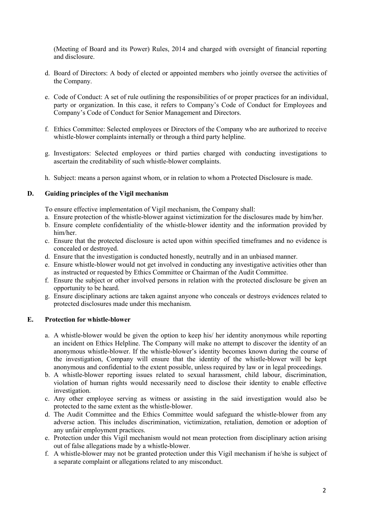(Meeting of Board and its Power) Rules, 2014 and charged with oversight of financial reporting and disclosure.

- d. Board of Directors: A body of elected or appointed members who jointly oversee the activities of the Company.
- e. Code of Conduct: A set of rule outlining the responsibilities of or proper practices for an individual, party or organization. In this case, it refers to Company's Code of Conduct for Employees and Company's Code of Conduct for Senior Management and Directors.
- f. Ethics Committee: Selected employees or Directors of the Company who are authorized to receive whistle-blower complaints internally or through a third party helpline.
- g. Investigators: Selected employees or third parties charged with conducting investigations to ascertain the creditability of such whistle-blower complaints.
- h. Subject: means a person against whom, or in relation to whom a Protected Disclosure is made.

#### **D. Guiding principles of the Vigil mechanism**

To ensure effective implementation of Vigil mechanism, the Company shall:

- a. Ensure protection of the whistle-blower against victimization for the disclosures made by him/her.
- b. Ensure complete confidentiality of the whistle-blower identity and the information provided by him/her.
- c. Ensure that the protected disclosure is acted upon within specified timeframes and no evidence is concealed or destroyed.
- d. Ensure that the investigation is conducted honestly, neutrally and in an unbiased manner.
- e. Ensure whistle-blower would not get involved in conducting any investigative activities other than as instructed or requested by Ethics Committee or Chairman of the Audit Committee.
- f. Ensure the subject or other involved persons in relation with the protected disclosure be given an opportunity to be heard.
- g. Ensure disciplinary actions are taken against anyone who conceals or destroys evidences related to protected disclosures made under this mechanism.

# **E. Protection for whistle-blower**

- a. A whistle-blower would be given the option to keep his/ her identity anonymous while reporting an incident on Ethics Helpline. The Company will make no attempt to discover the identity of an anonymous whistle-blower. If the whistle-blower's identity becomes known during the course of the investigation, Company will ensure that the identity of the whistle-blower will be kept anonymous and confidential to the extent possible, unless required by law or in legal proceedings.
- b. A whistle-blower reporting issues related to sexual harassment, child labour, discrimination, violation of human rights would necessarily need to disclose their identity to enable effective investigation.
- c. Any other employee serving as witness or assisting in the said investigation would also be protected to the same extent as the whistle-blower.
- d. The Audit Committee and the Ethics Committee would safeguard the whistle-blower from any adverse action. This includes discrimination, victimization, retaliation, demotion or adoption of any unfair employment practices.
- e. Protection under this Vigil mechanism would not mean protection from disciplinary action arising out of false allegations made by a whistle-blower.
- f. A whistle-blower may not be granted protection under this Vigil mechanism if he/she is subject of a separate complaint or allegations related to any misconduct.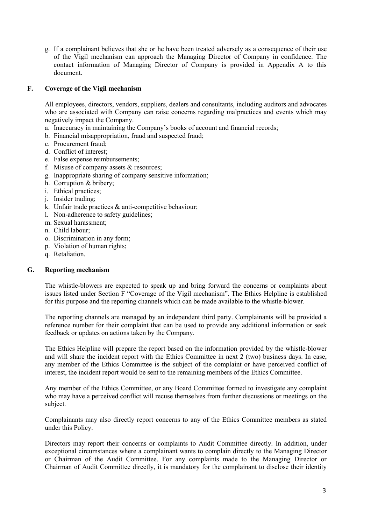g. If a complainant believes that she or he have been treated adversely as a consequence of their use of the Vigil mechanism can approach the Managing Director of Company in confidence. The contact information of Managing Director of Company is provided in Appendix A to this document.

### **F. Coverage of the Vigil mechanism**

All employees, directors, vendors, suppliers, dealers and consultants, including auditors and advocates who are associated with Company can raise concerns regarding malpractices and events which may negatively impact the Company.

- a. Inaccuracy in maintaining the Company's books of account and financial records;
- b. Financial misappropriation, fraud and suspected fraud;
- c. Procurement fraud;
- d. Conflict of interest;
- e. False expense reimbursements;
- f. Misuse of company assets & resources;
- g. Inappropriate sharing of company sensitive information;
- h. Corruption & bribery;
- i. Ethical practices;
- j. Insider trading;
- k. Unfair trade practices & anti-competitive behaviour;
- l. Non-adherence to safety guidelines;
- m. Sexual harassment;
- n. Child labour;
- o. Discrimination in any form;
- p. Violation of human rights;
- q. Retaliation.

#### **G. Reporting mechanism**

The whistle-blowers are expected to speak up and bring forward the concerns or complaints about issues listed under Section F "Coverage of the Vigil mechanism". The Ethics Helpline is established for this purpose and the reporting channels which can be made available to the whistle-blower.

The reporting channels are managed by an independent third party. Complainants will be provided a reference number for their complaint that can be used to provide any additional information or seek feedback or updates on actions taken by the Company.

The Ethics Helpline will prepare the report based on the information provided by the whistle-blower and will share the incident report with the Ethics Committee in next  $2 \text{ (two)}$  business days. In case, any member of the Ethics Committee is the subject of the complaint or have perceived conflict of interest, the incident report would be sent to the remaining members of the Ethics Committee.

Any member of the Ethics Committee, or any Board Committee formed to investigate any complaint who may have a perceived conflict will recuse themselves from further discussions or meetings on the subject.

Complainants may also directly report concerns to any of the Ethics Committee members as stated under this Policy.

Directors may report their concerns or complaints to Audit Committee directly. In addition, under exceptional circumstances where a complainant wants to complain directly to the Managing Director or Chairman of the Audit Committee. For any complaints made to the Managing Director or Chairman of Audit Committee directly, it is mandatory for the complainant to disclose their identity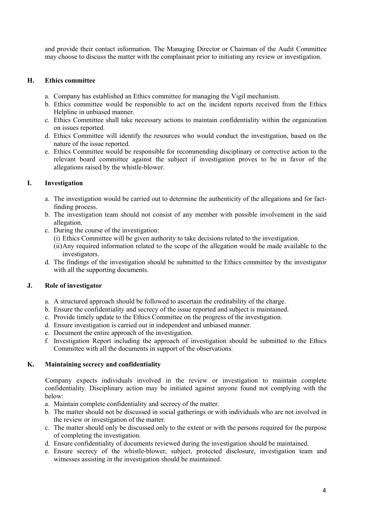and provide their contact information. The Managing Director or Chairman of the Audit Committee may choose to discuss the matter with the complainant prior to initiating any review or investigation.

#### **H. Ethics committee**

- a. Company has established an Ethics committee for managing the Vigil mechanism.
- b. Ethics committee would be responsible to act on the incident reports received from the Ethics Helpline in unbiased manner.
- c. Ethics Committee shall take necessary actions to maintain confidentiality within the organization on issues reported.
- d. Ethics Committee will identify the resources who would conduct the investigation, based on the nature of the issue reported.
- e. Ethics Committee would be responsible for recommending disciplinary or corrective action to the relevant board committee against the subject if investigation proves to be in favor of the allegations raised by the whistle-blower.

#### **I. Investigation**

- a. The investigation would be carried out to determine the authenticity of the allegations and for factfinding process.
- b. The investigation team should not consist of any member with possible involvement in the said allegation.
- c. During the course of the investigation:
	- (i) Ethics Committee will be given authority to take decisions related to the investigation.
	- (ii)Any required information related to the scope of the allegation would be made available to the investigators.
- d. The findings of the investigation should be submitted to the Ethics committee by the investigator with all the supporting documents.

# **J. Role of investigator**

- a. A structured approach should be followed to ascertain the creditability of the charge.
- b. Ensure the confidentiality and secrecy of the issue reported and subject is maintained.
- c. Provide timely update to the Ethics Committee on the progress of the investigation.
- d. Ensure investigation is carried out in independent and unbiased manner.
- e. Document the entire approach of the investigation.
- f. Investigation Report including the approach of investigation should be submitted to the Ethics Committee with all the documents in support of the observations.

#### **K. Maintaining secrecy and confidentiality**

Company expects individuals involved in the review or investigation to maintain complete confidentiality. Disciplinary action may be initiated against anyone found not complying with the below:

- a. Maintain complete confidentiality and secrecy of the matter.
- b. The matter should not be discussed in social gatherings or with individuals who are not involved in the review or investigation of the matter.
- c. The matter should only be discussed only to the extent or with the persons required for the purpose of completing the investigation.
- d. Ensure confidentiality of documents reviewed during the investigation should be maintained.
- e. Ensure secrecy of the whistle-blower, subject, protected disclosure, investigation team and witnesses assisting in the investigation should be maintained.